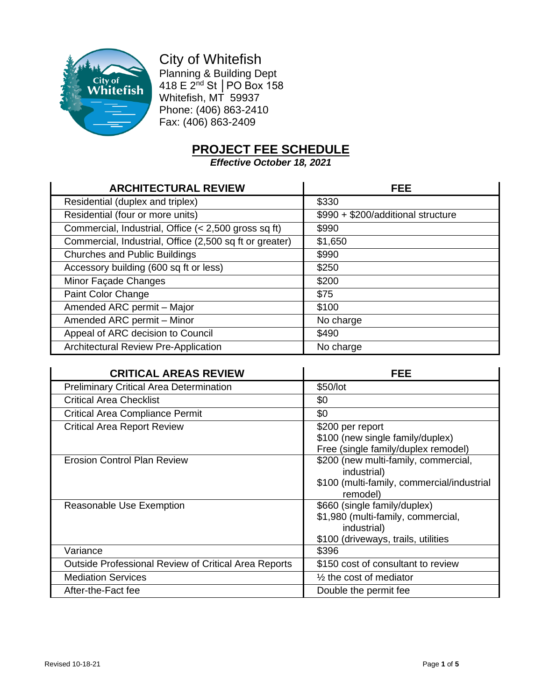

City of Whitefish Planning & Building Dept 418 E 2nd St │PO Box 158 Whitefish, MT 59937 Phone: (406) 863-2410 Fax: (406) 863-2409

## **PROJECT FEE SCHEDULE**

*Effective October 18, 2021*

| <b>ARCHITECTURAL REVIEW</b>                             | FEE                                |
|---------------------------------------------------------|------------------------------------|
| Residential (duplex and triplex)                        | \$330                              |
| Residential (four or more units)                        | \$990 + \$200/additional structure |
| Commercial, Industrial, Office (< 2,500 gross sq ft)    | \$990                              |
| Commercial, Industrial, Office (2,500 sq ft or greater) | \$1,650                            |
| <b>Churches and Public Buildings</b>                    | \$990                              |
| Accessory building (600 sq ft or less)                  | \$250                              |
| Minor Façade Changes                                    | \$200                              |
| Paint Color Change                                      | \$75                               |
| Amended ARC permit - Major                              | \$100                              |
| Amended ARC permit - Minor                              | No charge                          |
| Appeal of ARC decision to Council                       | \$490                              |
| <b>Architectural Review Pre-Application</b>             | No charge                          |

| <b>CRITICAL AREAS REVIEW</b>                         | FEE                                        |
|------------------------------------------------------|--------------------------------------------|
| <b>Preliminary Critical Area Determination</b>       | \$50/lot                                   |
| <b>Critical Area Checklist</b>                       | \$0                                        |
| <b>Critical Area Compliance Permit</b>               | \$0                                        |
| <b>Critical Area Report Review</b>                   | \$200 per report                           |
|                                                      | \$100 (new single family/duplex)           |
|                                                      | Free (single family/duplex remodel)        |
| <b>Erosion Control Plan Review</b>                   | \$200 (new multi-family, commercial,       |
|                                                      | industrial)                                |
|                                                      | \$100 (multi-family, commercial/industrial |
|                                                      | remodel)                                   |
| Reasonable Use Exemption                             | \$660 (single family/duplex)               |
|                                                      | \$1,980 (multi-family, commercial,         |
|                                                      | industrial)                                |
|                                                      | \$100 (driveways, trails, utilities        |
| Variance                                             | \$396                                      |
| Outside Professional Review of Critical Area Reports | \$150 cost of consultant to review         |
| <b>Mediation Services</b>                            | $\frac{1}{2}$ the cost of mediator         |
| After-the-Fact fee                                   | Double the permit fee                      |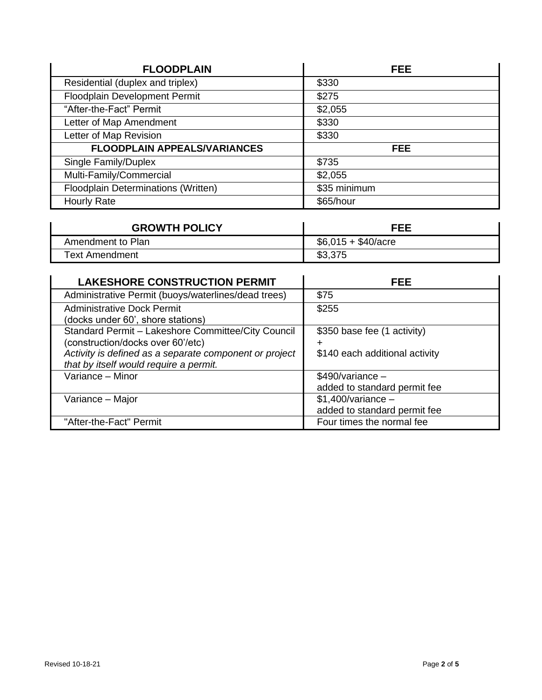| <b>FLOODPLAIN</b>                   | FEE.         |
|-------------------------------------|--------------|
| Residential (duplex and triplex)    | \$330        |
| Floodplain Development Permit       | \$275        |
| "After-the-Fact" Permit             | \$2,055      |
| Letter of Map Amendment             | \$330        |
| Letter of Map Revision              | \$330        |
| <b>FLOODPLAIN APPEALS/VARIANCES</b> | <b>FEE</b>   |
| Single Family/Duplex                | \$735        |
| Multi-Family/Commercial             | \$2,055      |
| Floodplain Determinations (Written) | \$35 minimum |
| <b>Hourly Rate</b>                  | \$65/hour    |

| <b>GROWTH POLICY</b> | <b>FEE</b>                  |
|----------------------|-----------------------------|
| Amendment to Plan    | $$6,015 + $40/ \text{acre}$ |
| Text Amendment       | \$3,375                     |

| <b>LAKESHORE CONSTRUCTION PERMIT</b>                   | FEE                            |
|--------------------------------------------------------|--------------------------------|
| Administrative Permit (buoys/waterlines/dead trees)    | \$75                           |
| <b>Administrative Dock Permit</b>                      | \$255                          |
| (docks under 60', shore stations)                      |                                |
| Standard Permit - Lakeshore Committee/City Council     | \$350 base fee (1 activity)    |
| (construction/docks over 60'/etc)                      | ┿                              |
| Activity is defined as a separate component or project | \$140 each additional activity |
| that by itself would require a permit.                 |                                |
| Variance - Minor                                       | $$490/variance -$              |
|                                                        | added to standard permit fee   |
| Variance - Major                                       | $$1,400/variance -$            |
|                                                        | added to standard permit fee   |
| "After-the-Fact" Permit                                | Four times the normal fee      |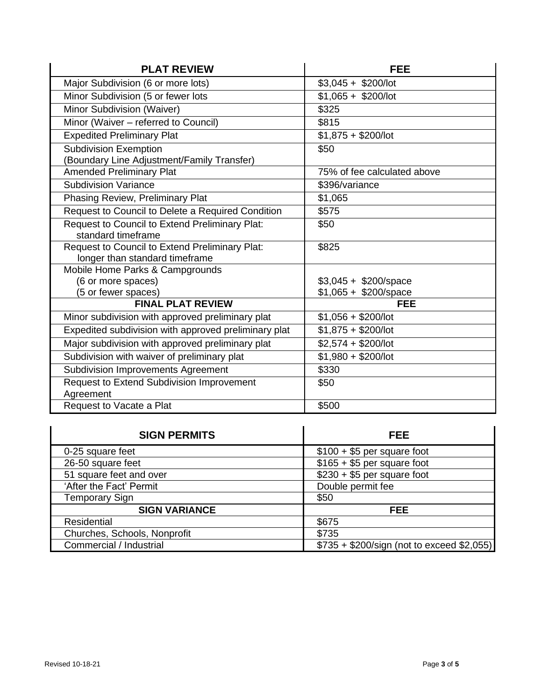| <b>PLAT REVIEW</b>                                                               | <b>FEE</b>                  |
|----------------------------------------------------------------------------------|-----------------------------|
| Major Subdivision (6 or more lots)                                               | $$3,045 + $200/$ lot        |
| Minor Subdivision (5 or fewer lots                                               | $$1,065 + $200/$ lot        |
| Minor Subdivision (Waiver)                                                       | \$325                       |
| Minor (Waiver - referred to Council)                                             | \$815                       |
| <b>Expedited Preliminary Plat</b>                                                | $$1,875 + $200/$ lot        |
| <b>Subdivision Exemption</b><br>(Boundary Line Adjustment/Family Transfer)       | \$50                        |
| <b>Amended Preliminary Plat</b>                                                  | 75% of fee calculated above |
| <b>Subdivision Variance</b>                                                      | \$396/variance              |
| Phasing Review, Preliminary Plat                                                 | \$1,065                     |
| Request to Council to Delete a Required Condition                                | \$575                       |
| Request to Council to Extend Preliminary Plat:<br>standard timeframe             | \$50                        |
| Request to Council to Extend Preliminary Plat:<br>longer than standard timeframe | \$825                       |
| Mobile Home Parks & Campgrounds                                                  |                             |
| (6 or more spaces)                                                               | $$3,045 + $200$ /space      |
| (5 or fewer spaces)                                                              | $$1,065 + $200$ /space      |
| <b>FINAL PLAT REVIEW</b>                                                         | <b>FEE</b>                  |
| Minor subdivision with approved preliminary plat                                 | $$1,056 + $200/$ lot        |
| Expedited subdivision with approved preliminary plat                             | $$1,875 + $200/$ lot        |
| Major subdivision with approved preliminary plat                                 | $$2,574 + $200/lot$         |
| Subdivision with waiver of preliminary plat                                      | $$1,980 + $200/$ lot        |
| Subdivision Improvements Agreement                                               | \$330                       |
| Request to Extend Subdivision Improvement<br>Agreement                           | \$50                        |
| Request to Vacate a Plat                                                         | \$500                       |

| <b>SIGN PERMITS</b>          | FEE.                                       |
|------------------------------|--------------------------------------------|
| 0-25 square feet             | $$100 + $5$ per square foot                |
| 26-50 square feet            | $$165 + $5$ per square foot                |
| 51 square feet and over      | $$230 + $5$ per square foot                |
| 'After the Fact' Permit      | Double permit fee                          |
| <b>Temporary Sign</b>        | \$50                                       |
| <b>SIGN VARIANCE</b>         | FEE.                                       |
| <b>Residential</b>           | \$675                                      |
| Churches, Schools, Nonprofit | \$735                                      |
| Commercial / Industrial      | \$735 + \$200/sign (not to exceed \$2,055) |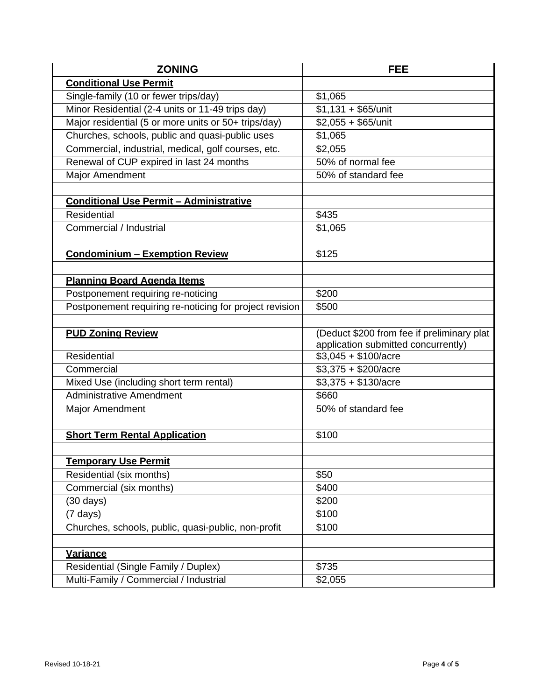| <b>ZONING</b>                                           | FEE                                        |
|---------------------------------------------------------|--------------------------------------------|
| <b>Conditional Use Permit</b>                           |                                            |
| Single-family (10 or fewer trips/day)                   | \$1,065                                    |
| Minor Residential (2-4 units or 11-49 trips day)        | $$1,131 + $65/$ unit                       |
| Major residential (5 or more units or 50+ trips/day)    | $$2,055 + $65/$ unit                       |
| Churches, schools, public and quasi-public uses         | \$1,065                                    |
| Commercial, industrial, medical, golf courses, etc.     | \$2,055                                    |
| Renewal of CUP expired in last 24 months                | 50% of normal fee                          |
| Major Amendment                                         | 50% of standard fee                        |
|                                                         |                                            |
| <b>Conditional Use Permit - Administrative</b>          |                                            |
| Residential                                             | \$435                                      |
| Commercial / Industrial                                 | \$1,065                                    |
|                                                         |                                            |
| <b>Condominium - Exemption Review</b>                   | \$125                                      |
|                                                         |                                            |
| <b>Planning Board Agenda Items</b>                      |                                            |
| Postponement requiring re-noticing                      | \$200                                      |
| Postponement requiring re-noticing for project revision | \$500                                      |
|                                                         |                                            |
| <b>PUD Zoning Review</b>                                | (Deduct \$200 from fee if preliminary plat |
|                                                         | application submitted concurrently)        |
| Residential                                             | $$3,045 + $100/ \text{acre}$               |
| Commercial                                              | $$3,375 + $200/acre$                       |
| Mixed Use (including short term rental)                 | $$3,375 + $130/acre$                       |
| <b>Administrative Amendment</b>                         | \$660                                      |
| <b>Major Amendment</b>                                  | 50% of standard fee                        |
|                                                         |                                            |
| <b>Short Term Rental Application</b>                    | \$100                                      |
|                                                         |                                            |
| <b>Temporary Use Permit</b>                             |                                            |
| Residential (six months)                                | \$50                                       |
| Commercial (six months)                                 | \$400                                      |
| $(30 \text{ days})$                                     | \$200                                      |
| $(7 \text{ days})$                                      | \$100                                      |
| Churches, schools, public, quasi-public, non-profit     | \$100                                      |
|                                                         |                                            |
| <b>Variance</b>                                         |                                            |
| Residential (Single Family / Duplex)                    | \$735                                      |
| Multi-Family / Commercial / Industrial                  | \$2,055                                    |